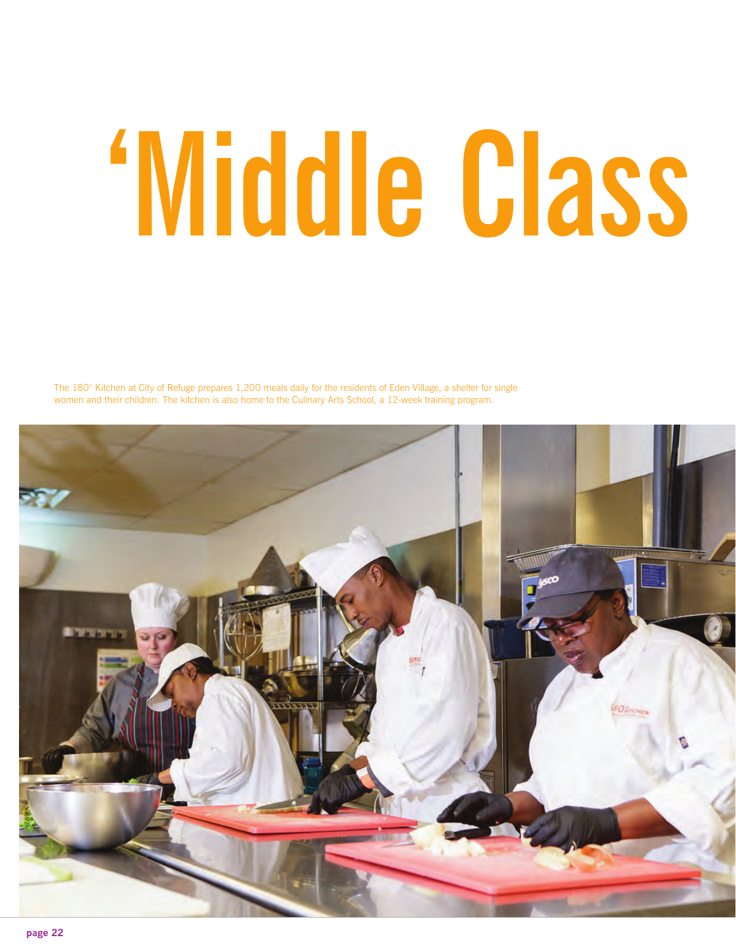## 'Middle Class

The 180° Kitchen at City of Refuge prepares 1,200 meals daily for the residents of Eden Village, a shelter for single women and their children. The kitchen is also home to the Culinary Arts School, a 12-week training program.

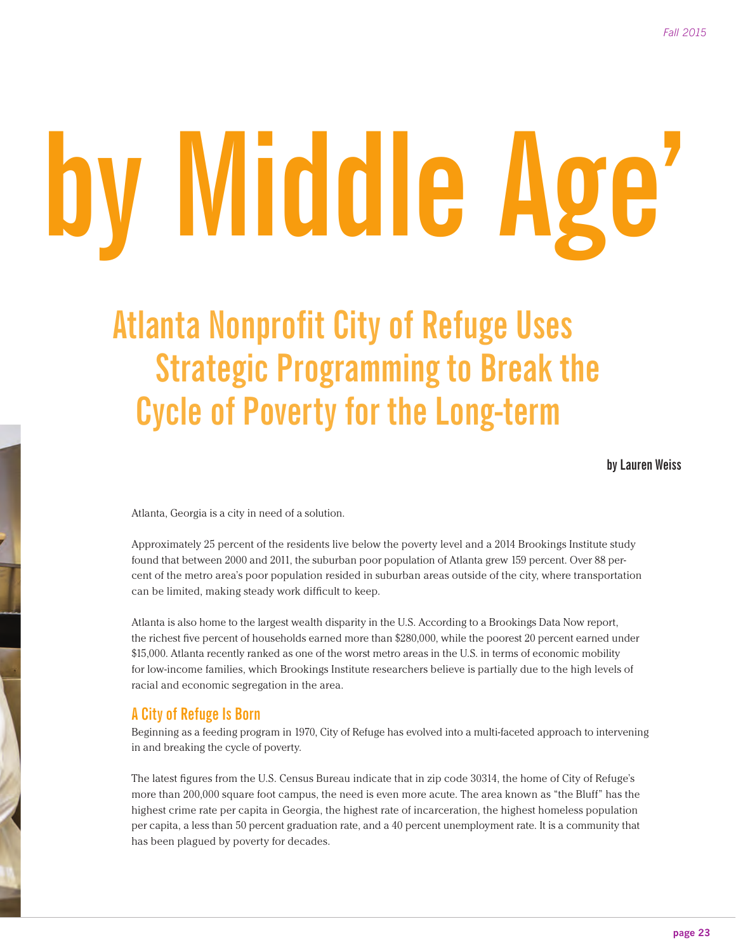# **'Middle Class by Middle Age'**

## **Atlanta Nonprofit City of Refuge Uses Strategic Programming to Break the Cycle of Poverty for the Long-term**

**by Lauren Weiss**

Atlanta, Georgia is a city in need of a solution.

Approximately 25 percent of the residents live below the poverty level and a 2014 Brookings Institute study found that between 2000 and 2011, the suburban poor population of Atlanta grew 159 percent. Over 88 percent of the metro area's poor population resided in suburban areas outside of the city, where transportation can be limited, making steady work difficult to keep.

Atlanta is also home to the largest wealth disparity in the U.S. According to a Brookings Data Now report, the richest five percent of households earned more than \$280,000, while the poorest 20 percent earned under \$15,000. Atlanta recently ranked as one of the worst metro areas in the U.S. in terms of economic mobility for low-income families, which Brookings Institute researchers believe is partially due to the high levels of racial and economic segregation in the area.

#### **A City of Refuge Is Born**

Beginning as a feeding program in 1970, City of Refuge has evolved into a multi-faceted approach to intervening in and breaking the cycle of poverty.

The latest figures from the U.S. Census Bureau indicate that in zip code 30314, the home of City of Refuge's more than 200,000 square foot campus, the need is even more acute. The area known as "the Bluff" has the highest crime rate per capita in Georgia, the highest rate of incarceration, the highest homeless population per capita, a less than 50 percent graduation rate, and a 40 percent unemployment rate. It is a community that has been plagued by poverty for decades.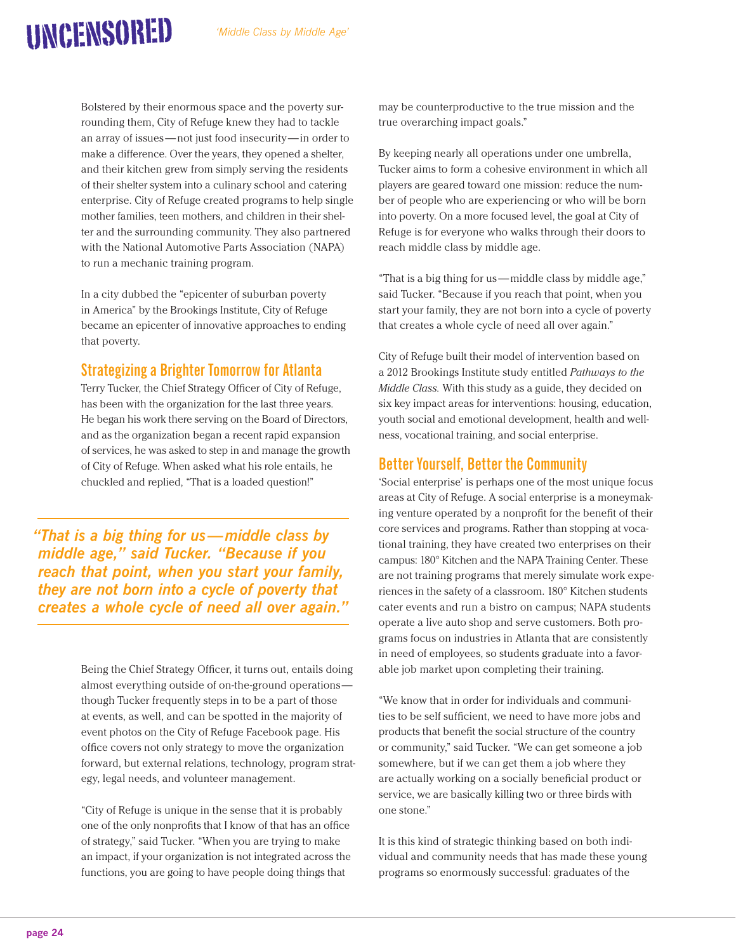### UNCENSORED

Bolstered by their enormous space and the poverty surrounding them, City of Refuge knew they had to tackle an array of issues —not just food insecurity—in order to make a difference. Over the years, they opened a shelter, and their kitchen grew from simply serving the residents of their shelter system into a culinary school and catering enterprise. City of Refuge created programs to help single mother families, teen mothers, and children in their shelter and the surrounding community. They also partnered with the National Automotive Parts Association (NAPA) to run a mechanic training program.

In a city dubbed the "epicenter of suburban poverty in America" by the Brookings Institute, City of Refuge became an epicenter of innovative approaches to ending that poverty.

#### **Strategizing a Brighter Tomorrow for Atlanta**

Terry Tucker, the Chief Strategy Officer of City of Refuge, has been with the organization for the last three years. He began his work there serving on the Board of Directors, and as the organization began a recent rapid expansion of services, he was asked to step in and manage the growth of City of Refuge. When asked what his role entails, he chuckled and replied, "That is a loaded question!"

*"That is a big thing for us—middle class by middle age," said Tucker. "Because if you reach that point, when you start your family, they are not born into a cycle of poverty that creates a whole cycle of need all over again."*

> Being the Chief Strategy Officer, it turns out, entails doing almost everything outside of on-the-ground operations though Tucker frequently steps in to be a part of those at events, as well, and can be spotted in the majority of event photos on the City of Refuge Facebook page. His office covers not only strategy to move the organization forward, but external relations, technology, program strategy, legal needs, and volunteer management.

"City of Refuge is unique in the sense that it is probably one of the only nonprofits that I know of that has an office of strategy," said Tucker. "When you are trying to make an impact, if your organization is not integrated across the functions, you are going to have people doing things that

may be counterproductive to the true mission and the true overarching impact goals."

By keeping nearly all operations under one umbrella, Tucker aims to form a cohesive environment in which all players are geared toward one mission: reduce the number of people who are experiencing or who will be born into poverty. On a more focused level, the goal at City of Refuge is for everyone who walks through their doors to reach middle class by middle age.

"That is a big thing for us —middle class by middle age," said Tucker. "Because if you reach that point, when you start your family, they are not born into a cycle of poverty that creates a whole cycle of need all over again."

City of Refuge built their model of intervention based on a 2012 Brookings Institute study entitled *Pathways to the Middle Class.* With this study as a guide, they decided on six key impact areas for interventions: housing, education, youth social and emotional development, health and wellness, vocational training, and social enterprise.

#### **Better Yourself, Better the Community**

'Social enterprise' is perhaps one of the most unique focus areas at City of Refuge. A social enterprise is a moneymaking venture operated by a nonprofit for the benefit of their core services and programs. Rather than stopping at vocational training, they have created two enterprises on their campus: 180° Kitchen and the NAPA Training Center. These are not training programs that merely simulate work experiences in the safety of a classroom. 180° Kitchen students cater events and run a bistro on campus; NAPA students operate a live auto shop and serve customers. Both programs focus on industries in Atlanta that are consistently in need of employees, so students graduate into a favorable job market upon completing their training.

"We know that in order for individuals and communities to be self sufficient, we need to have more jobs and products that benefit the social structure of the country or community," said Tucker. "We can get someone a job somewhere, but if we can get them a job where they are actually working on a socially beneficial product or service, we are basically killing two or three birds with one stone."

It is this kind of strategic thinking based on both individual and community needs that has made these young programs so enormously successful: graduates of the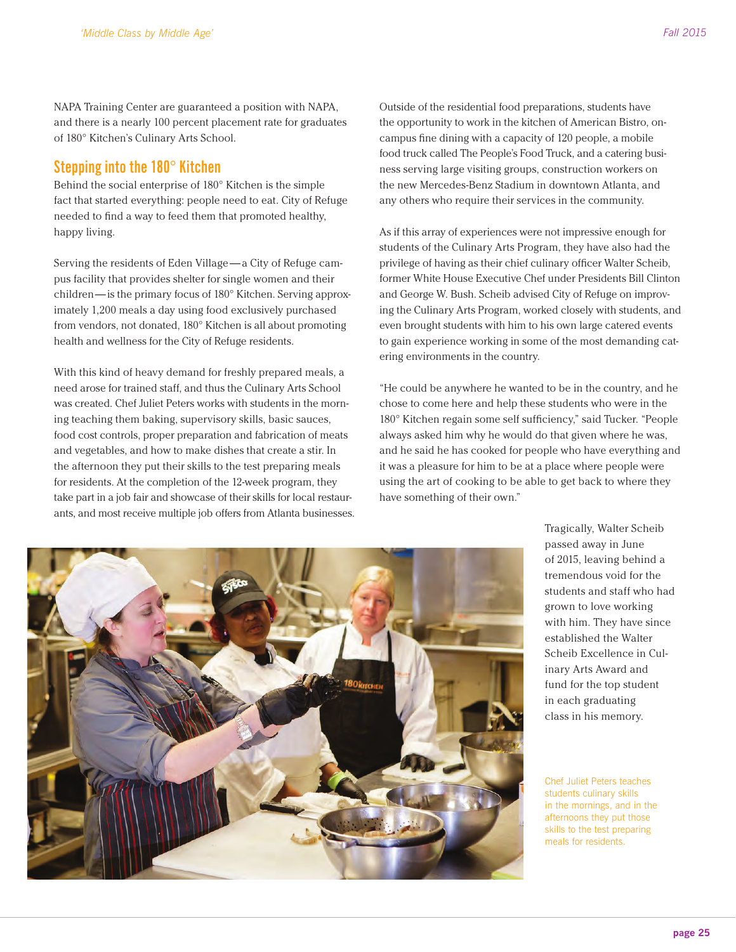NAPA Training Center are guaranteed a position with NAPA, and there is a nearly 100 percent placement rate for graduates of 180° Kitchen's Culinary Arts School.

#### **Stepping into the 180° Kitchen**

Behind the social enterprise of 180° Kitchen is the simple fact that started everything: people need to eat. City of Refuge needed to find a way to feed them that promoted healthy, happy living.

Serving the residents of Eden Village — a City of Refuge campus facility that provides shelter for single women and their children—is the primary focus of 180° Kitchen. Serving approximately 1,200 meals a day using food exclusively purchased from vendors, not donated, 180° Kitchen is all about promoting health and wellness for the City of Refuge residents.

With this kind of heavy demand for freshly prepared meals, a need arose for trained staff, and thus the Culinary Arts School was created. Chef Juliet Peters works with students in the morning teaching them baking, supervisory skills, basic sauces, food cost controls, proper preparation and fabrication of meats and vegetables, and how to make dishes that create a stir. In the afternoon they put their skills to the test preparing meals for residents. At the completion of the 12-week program, they take part in a job fair and showcase of their skills for local restaurants, and most receive multiple job offers from Atlanta businesses. Outside of the residential food preparations, students have the opportunity to work in the kitchen of American Bistro, oncampus fine dining with a capacity of 120 people, a mobile food truck called The People's Food Truck, and a catering business serving large visiting groups, construction workers on the new Mercedes-Benz Stadium in downtown Atlanta, and any others who require their services in the community.

As if this array of experiences were not impressive enough for students of the Culinary Arts Program, they have also had the privilege of having as their chief culinary officer Walter Scheib, former White House Executive Chef under Presidents Bill Clinton and George W. Bush. Scheib advised City of Refuge on improving the Culinary Arts Program, worked closely with students, and even brought students with him to his own large catered events to gain experience working in some of the most demanding catering environments in the country.

"He could be anywhere he wanted to be in the country, and he chose to come here and help these students who were in the 180° Kitchen regain some self sufficiency," said Tucker. "People always asked him why he would do that given where he was, and he said he has cooked for people who have everything and it was a pleasure for him to be at a place where people were using the art of cooking to be able to get back to where they have something of their own."



Tragically, Walter Scheib passed away in June of 2015, leaving behind a tremendous void for the students and staff who had grown to love working with him. They have since established the Walter Scheib Excellence in Culinary Arts Award and fund for the top student in each graduating class in his memory.

Chef Juliet Peters teaches students culinary skills in the mornings, and in the afternoons they put those skills to the test preparing meals for residents.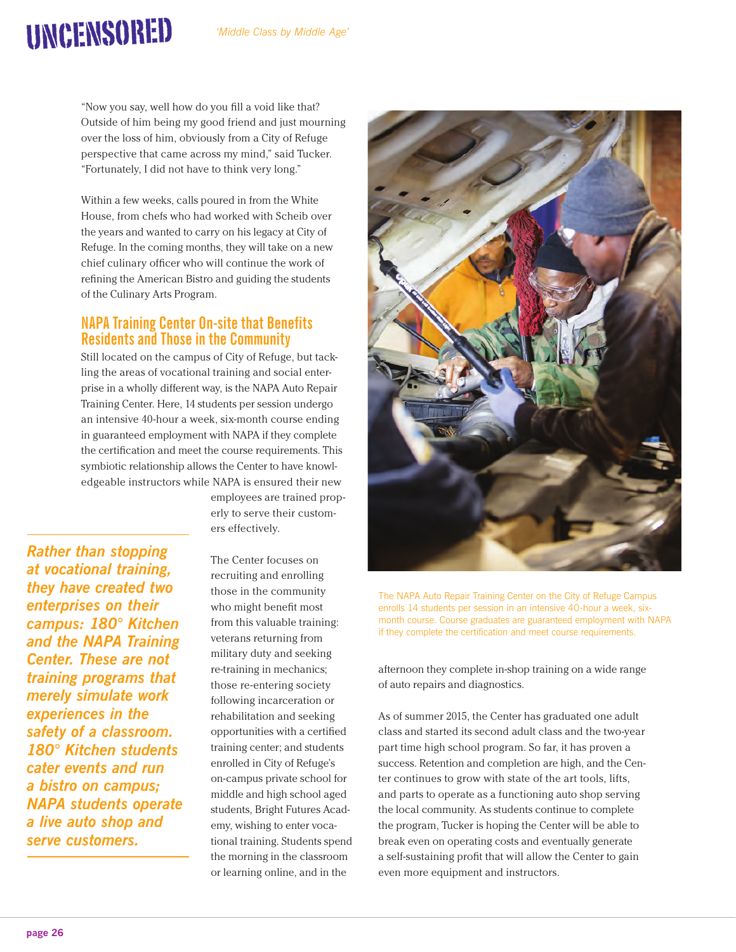"Now you say, well how do you fill a void like that? Outside of him being my good friend and just mourning over the loss of him, obviously from a City of Refuge perspective that came across my mind," said Tucker. "Fortunately, I did not have to think very long."

UNCENSORED

Within a few weeks, calls poured in from the White House, from chefs who had worked with Scheib over the years and wanted to carry on his legacy at City of Refuge. In the coming months, they will take on a new chief culinary officer who will continue the work of refining the American Bistro and guiding the students of the Culinary Arts Program.

#### **NAPA Training Center On-site that Benefits Residents and Those in the Community**

Still located on the campus of City of Refuge, but tackling the areas of vocational training and social enterprise in a wholly different way, is the NAPA Auto Repair Training Center. Here, 14 students per session undergo an intensive 40-hour a week, six-month course ending in guaranteed employment with NAPA if they complete the certification and meet the course requirements. This symbiotic relationship allows the Center to have knowledgeable instructors while NAPA is ensured their new

employees are trained properly to serve their customers effectively.

*Rather than stopping at vocational training, they have created two enterprises on their campus: 180° Kitchen and the NAPA Training Center. These are not training programs that merely simulate work experiences in the safety of a classroom. 180° Kitchen students cater events and run a bistro on campus; NAPA students operate a live auto shop and serve customers.*

The Center focuses on recruiting and enrolling those in the community who might benefit most from this valuable training: veterans returning from military duty and seeking re-training in mechanics; those re-entering society following incarceration or rehabilitation and seeking opportunities with a certified training center; and students enrolled in City of Refuge's on-campus private school for middle and high school aged students, Bright Futures Academy, wishing to enter vocational training. Students spend the morning in the classroom or learning online, and in the



The NAPA Auto Repair Training Center on the City of Refuge Campus enrolls 14 students per session in an intensive 40-hour a week, sixmonth course. Course graduates are guaranteed employment with NAPA if they complete the certification and meet course requirements.

afternoon they complete in-shop training on a wide range of auto repairs and diagnostics.

As of summer 2015, the Center has graduated one adult class and started its second adult class and the two-year part time high school program. So far, it has proven a success. Retention and completion are high, and the Center continues to grow with state of the art tools, lifts, and parts to operate as a functioning auto shop serving the local community. As students continue to complete the program, Tucker is hoping the Center will be able to break even on operating costs and eventually generate a self-sustaining profit that will allow the Center to gain even more equipment and instructors.